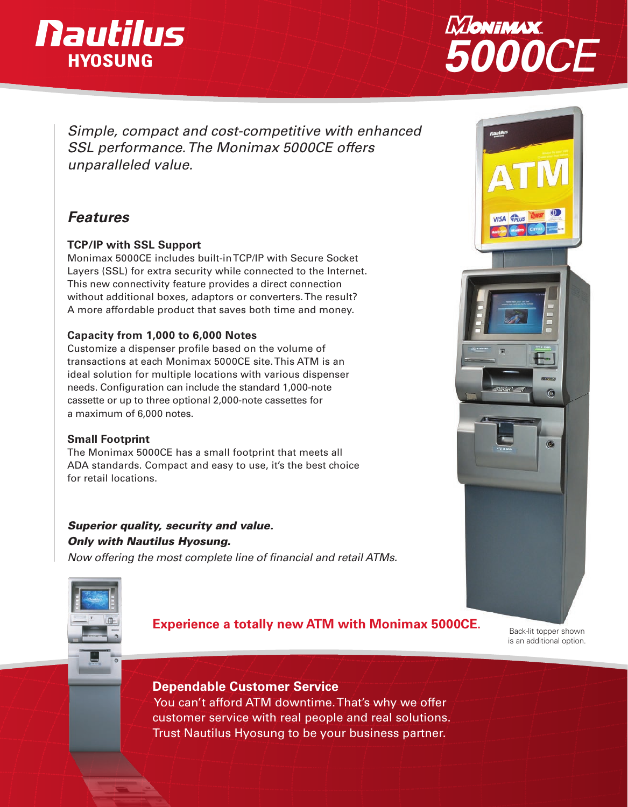# **Nautilus HYOSUNG**



*Simple, compact and cost-competitive with enhanced SSL performance. The Monimax 5000CE offers unparalleled value.*

# *Features*

### **TCP/IP with SSL Support**

Monimax 5000CE includes built-in TCP/IP with Secure Socket Layers (SSL) for extra security while connected to the Internet. This new connectivity feature provides a direct connection without additional boxes, adaptors or converters. The result? A more affordable product that saves both time and money.

#### **Capacity from 1,000 to 6,000 Notes**

Customize a dispenser profile based on the volume of transactions at each Monimax 5000CE site. This ATM is an ideal solution for multiple locations with various dispenser needs. Configuration can include the standard 1,000-note cassette or up to three optional 2,000-note cassettes for a maximum of 6,000 notes.

#### **Small Footprint**

The Monimax 5000CE has a small footprint that meets all ADA standards. Compact and easy to use, it's the best choice for retail locations.

# *Superior quality, security and value. Only with Nautilus Hyosung.*

*Now offering the most complete line of financial and retail ATMs.*





# **Experience a totally new ATM with Monimax 5000CE.**

Back-lit topper shown is an additional option.

 $\circ$ 

# **Dependable Customer Service**

 You can't afford ATM downtime. That's why we offer customer service with real people and real solutions. Trust Nautilus Hyosung to be your business partner.